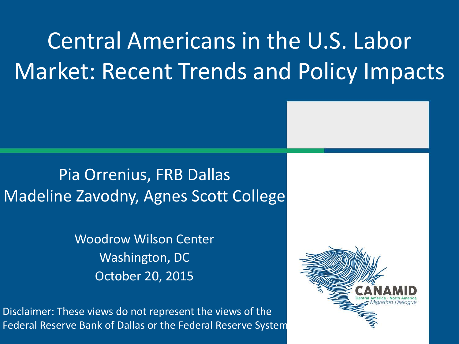#### Central Americans in the U.S. Labor Market: Recent Trends and Policy Impacts

#### Pia Orrenius, FRB Dallas Madeline Zavodny, Agnes Scott College

Woodrow Wilson Center Washington, DC October 20, 2015

Disclaimer: These views do not represent the views of the Federal Reserve Bank of Dallas or the Federal Reserve System

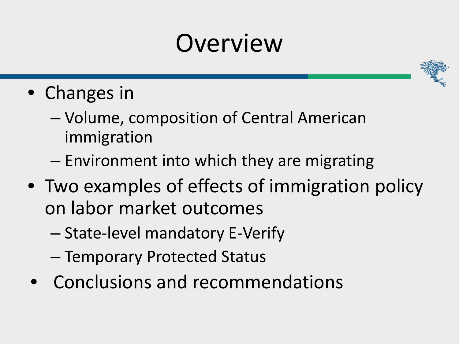## Overview



- Changes in
	- Volume, composition of Central American immigration
	- Environment into which they are migrating
- Two examples of effects of immigration policy on labor market outcomes
	- State-level mandatory E-Verify
	- Temporary Protected Status
- Conclusions and recommendations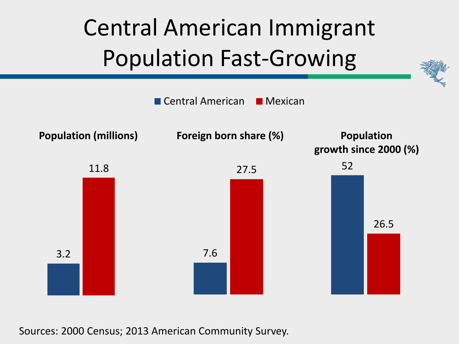#### Central American Immigrant Population Fast-Growing

■ Central American ■ Mexican



Sources: 2000 Census; 2013 American Community Survey.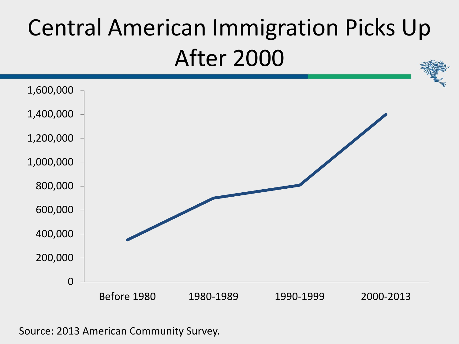#### Central American Immigration Picks Up After 2000



Source: 2013 American Community Survey.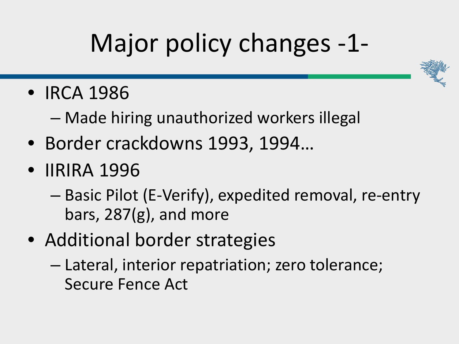# Major policy changes -1-



- IRCA 1986
	- Made hiring unauthorized workers illegal
- Border crackdowns 1993, 1994…
- IIRIRA 1996
	- Basic Pilot (E-Verify), expedited removal, re-entry bars, 287(g), and more
- Additional border strategies
	- Lateral, interior repatriation; zero tolerance; Secure Fence Act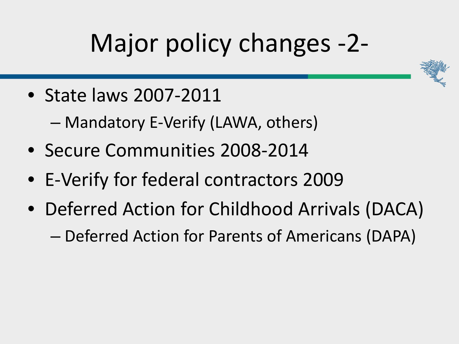# Major policy changes -2-



– Mandatory E-Verify (LAWA, others)

- Secure Communities 2008-2014
- E-Verify for federal contractors 2009
- Deferred Action for Childhood Arrivals (DACA)

– Deferred Action for Parents of Americans (DAPA)

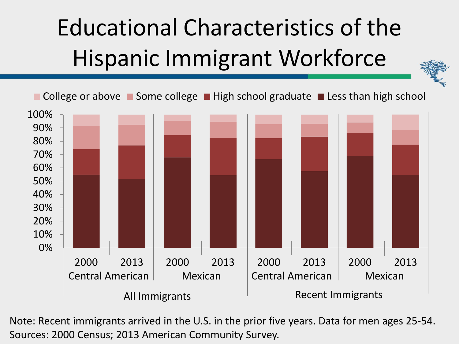## Educational Characteristics of the Hispanic Immigrant Workforce



Note: Recent immigrants arrived in the U.S. in the prior five years. Data for men ages 25-54. Sources: 2000 Census; 2013 American Community Survey.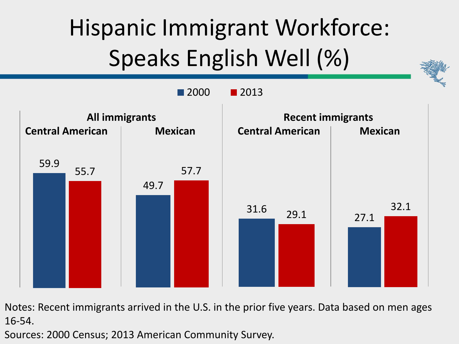#### Hispanic Immigrant Workforce: Speaks English Well (%)



Notes: Recent immigrants arrived in the U.S. in the prior five years. Data based on men ages 16-54.

Sources: 2000 Census; 2013 American Community Survey.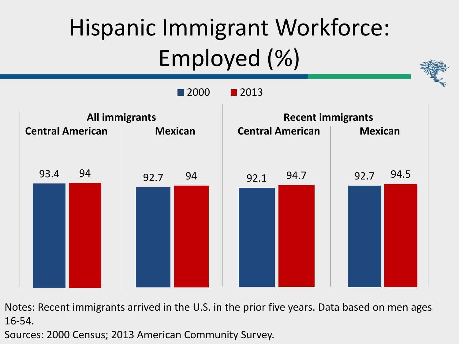#### Hispanic Immigrant Workforce: Employed (%)



Notes: Recent immigrants arrived in the U.S. in the prior five years. Data based on men ages 16-54.

Sources: 2000 Census; 2013 American Community Survey.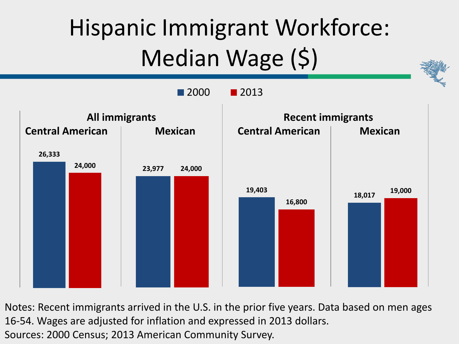#### Hispanic Immigrant Workforce: Median Wage (\$)



Notes: Recent immigrants arrived in the U.S. in the prior five years. Data based on men ages 16-54. Wages are adjusted for inflation and expressed in 2013 dollars. Sources: 2000 Census; 2013 American Community Survey.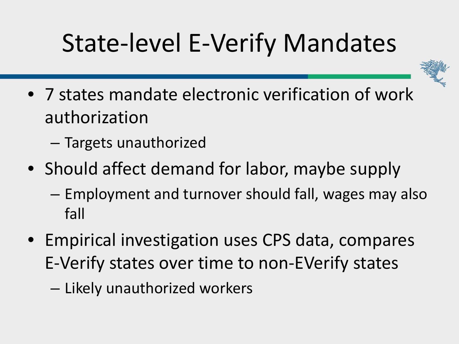## State-level E-Verify Mandates



- 7 states mandate electronic verification of work authorization
	- Targets unauthorized
- Should affect demand for labor, maybe supply
	- Employment and turnover should fall, wages may also fall
- Empirical investigation uses CPS data, compares E-Verify states over time to non-EVerify states
	- Likely unauthorized workers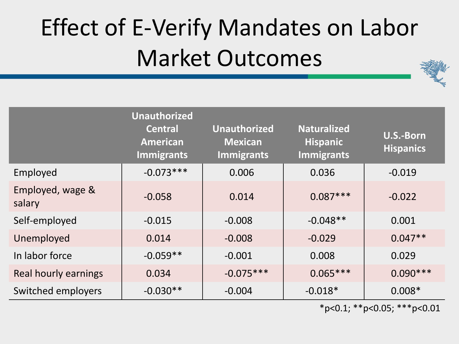#### Effect of E-Verify Mandates on Labor Market Outcomes

|                            | <b>Unauthorized</b><br><b>Central</b><br><b>American</b><br><b>Immigrants</b> | <b>Unauthorized</b><br><b>Mexican</b><br><b>Immigrants</b> | <b>Naturalized</b><br><b>Hispanic</b><br><b>Immigrants</b> | <b>U.S.-Born</b><br><b>Hispanics</b> |
|----------------------------|-------------------------------------------------------------------------------|------------------------------------------------------------|------------------------------------------------------------|--------------------------------------|
| Employed                   | $-0.073***$                                                                   | 0.006                                                      | 0.036                                                      | $-0.019$                             |
| Employed, wage &<br>salary | $-0.058$                                                                      | 0.014                                                      | $0.087***$                                                 | $-0.022$                             |
| Self-employed              | $-0.015$                                                                      | $-0.008$                                                   | $-0.048**$                                                 | 0.001                                |
| Unemployed                 | 0.014                                                                         | $-0.008$                                                   | $-0.029$                                                   | $0.047**$                            |
| In labor force             | $-0.059**$                                                                    | $-0.001$                                                   | 0.008                                                      | 0.029                                |
| Real hourly earnings       | 0.034                                                                         | $-0.075***$                                                | $0.065***$                                                 | $0.090***$                           |
| Switched employers         | $-0.030**$                                                                    | $-0.004$                                                   | $-0.018*$                                                  | $0.008*$                             |

 $*p<0.1;$  \*\*p $<0.05;$  \*\*\*p $<0.01$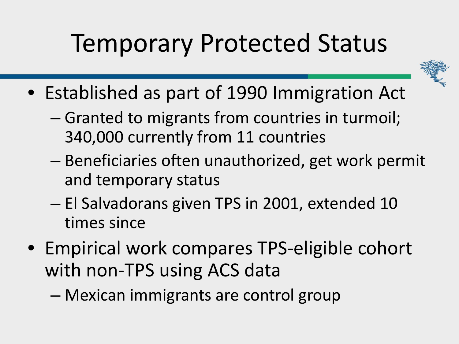#### Temporary Protected Status



- Established as part of 1990 Immigration Act
	- Granted to migrants from countries in turmoil; 340,000 currently from 11 countries
	- Beneficiaries often unauthorized, get work permit and temporary status
	- El Salvadorans given TPS in 2001, extended 10 times since
- Empirical work compares TPS-eligible cohort with non-TPS using ACS data
	- Mexican immigrants are control group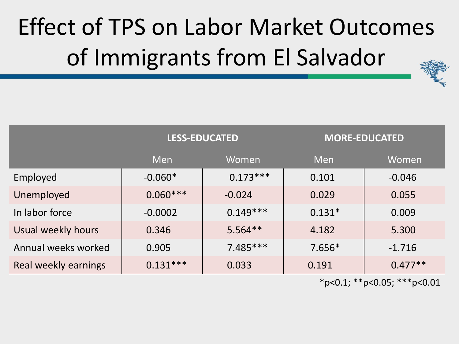## Effect of TPS on Labor Market Outcomes of Immigrants from El Salvador

|                      | <b>LESS-EDUCATED</b> |            | <b>MORE-EDUCATED</b> |           |
|----------------------|----------------------|------------|----------------------|-----------|
|                      | Men                  | Women      | Men                  | Women     |
| Employed             | $-0.060*$            | $0.173***$ | 0.101                | $-0.046$  |
| Unemployed           | $0.060***$           | $-0.024$   | 0.029                | 0.055     |
| In labor force       | $-0.0002$            | $0.149***$ | $0.131*$             | 0.009     |
| Usual weekly hours   | 0.346                | $5.564**$  | 4.182                | 5.300     |
| Annual weeks worked  | 0.905                | $7.485***$ | $7.656*$             | $-1.716$  |
| Real weekly earnings | $0.131***$           | 0.033      | 0.191                | $0.477**$ |

 $*p<0.1;$  \*\*p<0.05; \*\*\*p<0.01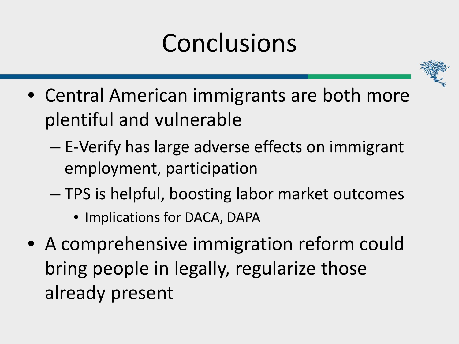## Conclusions



- Central American immigrants are both more plentiful and vulnerable
	- E-Verify has large adverse effects on immigrant employment, participation
	- TPS is helpful, boosting labor market outcomes
		- Implications for DACA, DAPA
- A comprehensive immigration reform could bring people in legally, regularize those already present